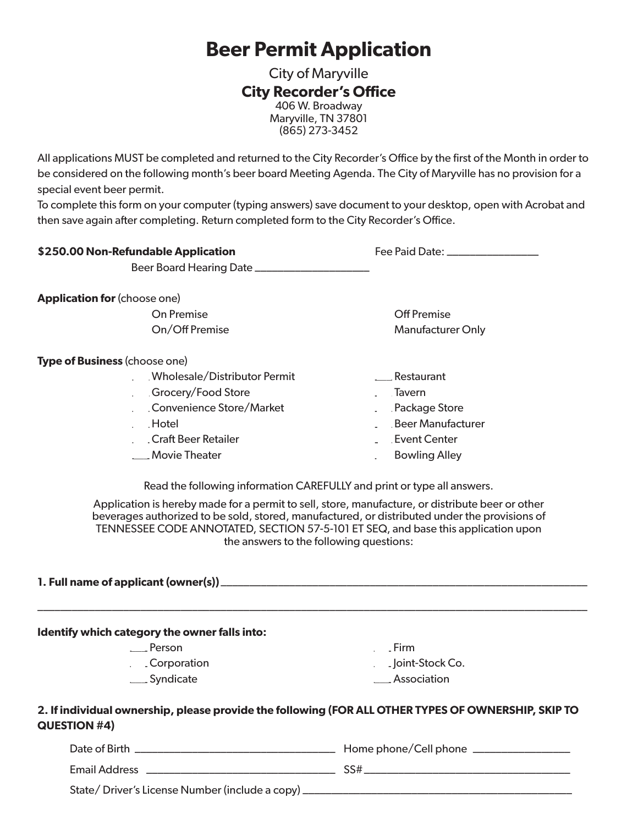# **Beer Permit Application**

City of Maryville **City Recorder's Office** 406 W. Broadway Maryville, TN 37801 (865) 273-3452

All applications MUST be completed and returned to the City Recorder's Office by the first of the Month in order to be considered on the following month's beer board Meeting Agenda. The City of Maryville has no provision for a special event beer permit.

To complete this form on your computer (typing answers) save document to your desktop, open with Acrobat and then save again after completing. Return completed form to the City Recorder's Office.

| \$250.00 Non-Refundable Application                                                                                                                                                                                                                                                                                               | Fee Paid Date: ________________ |
|-----------------------------------------------------------------------------------------------------------------------------------------------------------------------------------------------------------------------------------------------------------------------------------------------------------------------------------|---------------------------------|
| <b>Application for (choose one)</b>                                                                                                                                                                                                                                                                                               |                                 |
| On Premise                                                                                                                                                                                                                                                                                                                        | <b>Off Premise</b>              |
| On/Off Premise                                                                                                                                                                                                                                                                                                                    | <b>Manufacturer Only</b>        |
| Type of Business (choose one)                                                                                                                                                                                                                                                                                                     |                                 |
| Wholesale/Distributor Permit                                                                                                                                                                                                                                                                                                      | ___Restaurant                   |
| Grocery/Food Store                                                                                                                                                                                                                                                                                                                | ____ Tavern                     |
| Convenience Store/Market                                                                                                                                                                                                                                                                                                          | Package Store                   |
| Hotel                                                                                                                                                                                                                                                                                                                             | Beer Manufacturer               |
| Craft Beer Retailer                                                                                                                                                                                                                                                                                                               | <b>Event Center</b>             |
| ___ Movie Theater                                                                                                                                                                                                                                                                                                                 | ____ Bowling Alley              |
| Application is hereby made for a permit to sell, store, manufacture, or distribute beer or other<br>beverages authorized to be sold, stored, manufactured, or distributed under the provisions of<br>TENNESSEE CODE ANNOTATED, SECTION 57-5-101 ET SEQ, and base this application upon<br>the answers to the following questions: |                                 |
|                                                                                                                                                                                                                                                                                                                                   |                                 |
| Identify which category the owner falls into:                                                                                                                                                                                                                                                                                     |                                 |
| ____ Person                                                                                                                                                                                                                                                                                                                       | $\qquad \qquad$ Firm            |
| ___Corporation                                                                                                                                                                                                                                                                                                                    | ___ Joint-Stock Co.             |
| ___ Syndicate                                                                                                                                                                                                                                                                                                                     | ___ Association                 |
| 2. If individual ownership, please provide the following (FOR ALL OTHER TYPES OF OWNERSHIP, SKIP TO<br>QUESTION #4)                                                                                                                                                                                                               |                                 |

| Date of Birth                                      | Home phone/Cell phone |
|----------------------------------------------------|-----------------------|
| Email Address                                      | SS#                   |
| State/Driver's License Number (include a copy) ___ |                       |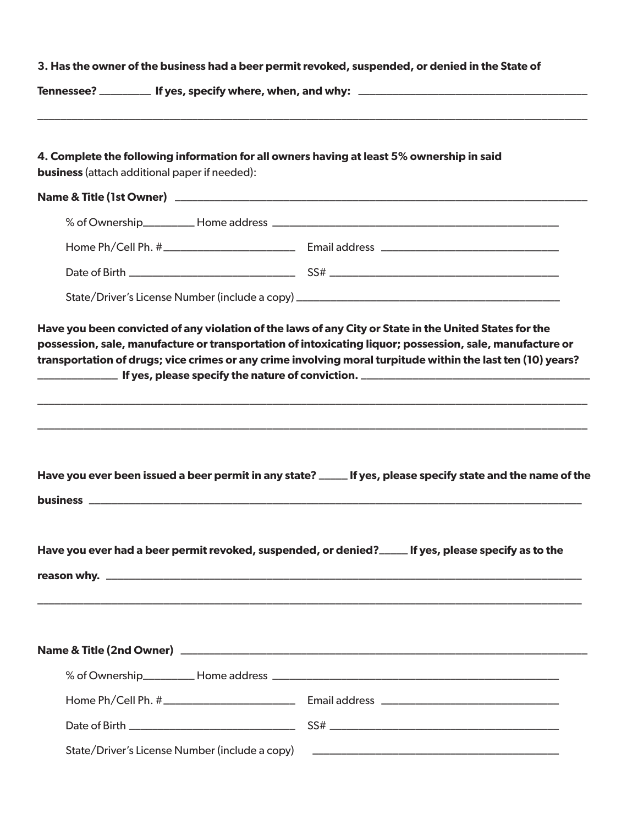|                                                      | 3. Has the owner of the business had a beer permit revoked, suspended, or denied in the State of            |
|------------------------------------------------------|-------------------------------------------------------------------------------------------------------------|
|                                                      |                                                                                                             |
| <b>business</b> (attach additional paper if needed): | 4. Complete the following information for all owners having at least 5% ownership in said                   |
|                                                      |                                                                                                             |
|                                                      |                                                                                                             |
|                                                      |                                                                                                             |
|                                                      |                                                                                                             |
|                                                      |                                                                                                             |
|                                                      | Have you ever been issued a beer permit in any state? ____ If yes, please specify state and the name of the |
|                                                      |                                                                                                             |
|                                                      | Have you ever had a beer permit revoked, suspended, or denied?<br>If yes, please specify as to the          |
|                                                      |                                                                                                             |
|                                                      |                                                                                                             |
|                                                      |                                                                                                             |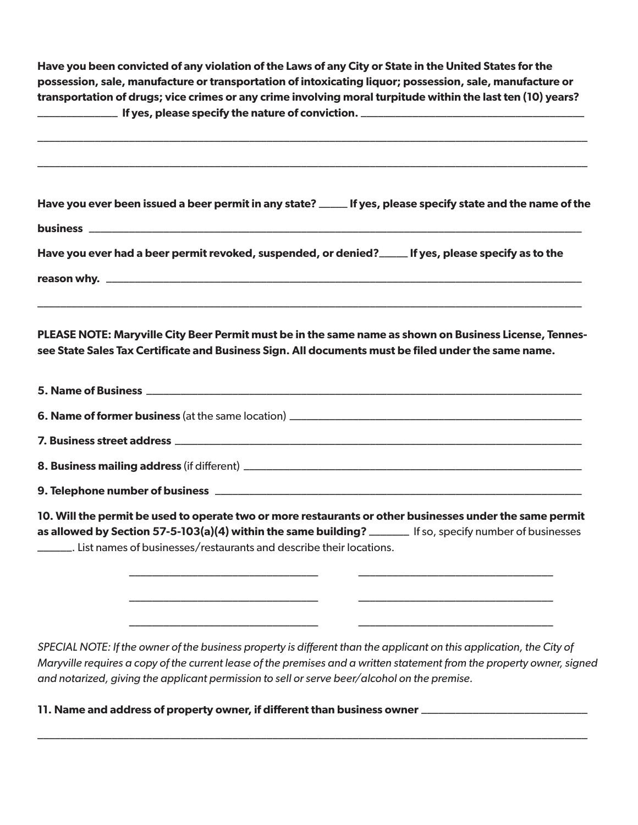**Have you been convicted of any violation of the Laws of any City or State in the United States for the possession, sale, manufacture or transportation of intoxicating liquor; possession, sale, manufacture or transportation of drugs; vice crimes or any crime involving moral turpitude within the last ten (10) years?** \_\_\_\_\_\_\_\_\_\_\_\_\_\_ **If yes, please specify the nature of conviction.** \_\_\_\_\_\_\_\_\_\_\_\_\_\_\_\_\_\_\_\_\_\_\_\_\_\_\_\_\_\_\_\_\_\_\_\_\_\_\_

| Have you ever been issued a beer permit in any state? _____ If yes, please specify state and the name of the                                                                                                                                                                                                                                   |
|------------------------------------------------------------------------------------------------------------------------------------------------------------------------------------------------------------------------------------------------------------------------------------------------------------------------------------------------|
|                                                                                                                                                                                                                                                                                                                                                |
| Have you ever had a beer permit revoked, suspended, or denied?_____ If yes, please specify as to the                                                                                                                                                                                                                                           |
|                                                                                                                                                                                                                                                                                                                                                |
| PLEASE NOTE: Maryville City Beer Permit must be in the same name as shown on Business License, Tennes-<br>see State Sales Tax Certificate and Business Sign. All documents must be filed under the same name.                                                                                                                                  |
|                                                                                                                                                                                                                                                                                                                                                |
|                                                                                                                                                                                                                                                                                                                                                |
|                                                                                                                                                                                                                                                                                                                                                |
|                                                                                                                                                                                                                                                                                                                                                |
|                                                                                                                                                                                                                                                                                                                                                |
| 10. Will the permit be used to operate two or more restaurants or other businesses under the same permit<br>as allowed by Section 57-5-103(a)(4) within the same building? ______ If so, specify number of businesses<br>_______. List names of businesses/restaurants and describe their locations.                                           |
|                                                                                                                                                                                                                                                                                                                                                |
| SPECIAL NOTE: If the owner of the business property is different than the applicant on this application, the City of<br>Maryville requires a copy of the current lease of the premises and a written statement from the property owner, signed<br>and notarized, giving the applicant permission to sell or serve beer/alcohol on the premise. |

\_\_\_\_\_\_\_\_\_\_\_\_\_\_\_\_\_\_\_\_\_\_\_\_\_\_\_\_\_\_\_\_\_\_\_\_\_\_\_\_\_\_\_\_\_\_\_\_\_\_\_\_\_\_\_\_\_\_\_\_\_\_\_\_\_\_\_\_\_\_\_\_\_\_\_\_\_\_\_\_\_\_\_\_\_\_\_\_\_\_\_\_\_\_\_\_

**11. Name and address of property owner, if different than business owner** \_\_\_\_\_\_\_\_\_\_\_\_\_\_\_\_\_\_\_\_\_\_\_\_\_\_\_\_\_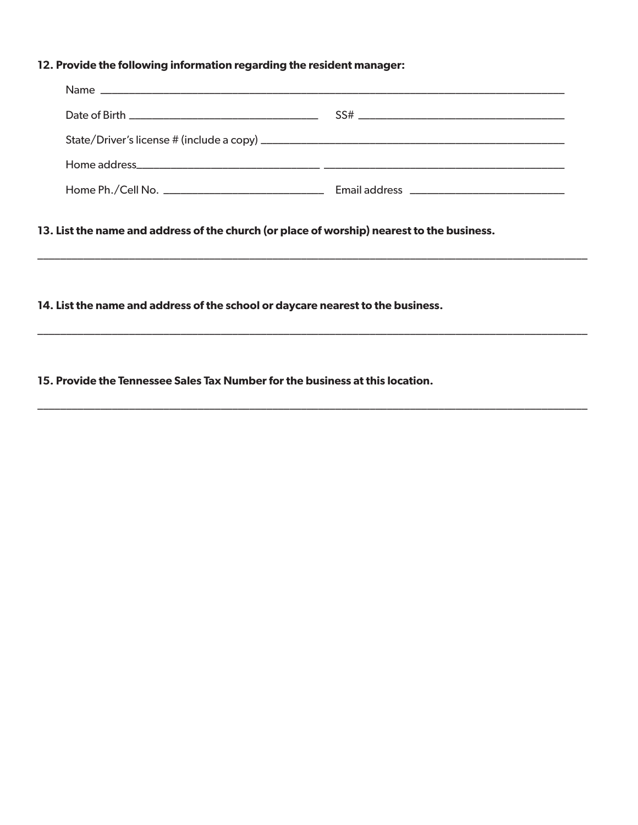## **12. Provide the following information regarding the resident manager:**

\_\_\_\_\_\_\_\_\_\_\_\_\_\_\_\_\_\_\_\_\_\_\_\_\_\_\_\_\_\_\_\_\_\_\_\_\_\_\_\_\_\_\_\_\_\_\_\_\_\_\_\_\_\_\_\_\_\_\_\_\_\_\_\_\_\_\_\_\_\_\_\_\_\_\_\_\_\_\_\_\_\_\_\_\_\_\_\_\_\_\_\_\_\_\_\_

\_\_\_\_\_\_\_\_\_\_\_\_\_\_\_\_\_\_\_\_\_\_\_\_\_\_\_\_\_\_\_\_\_\_\_\_\_\_\_\_\_\_\_\_\_\_\_\_\_\_\_\_\_\_\_\_\_\_\_\_\_\_\_\_\_\_\_\_\_\_\_\_\_\_\_\_\_\_\_\_\_\_\_\_\_\_\_\_\_\_\_\_\_\_\_\_

\_\_\_\_\_\_\_\_\_\_\_\_\_\_\_\_\_\_\_\_\_\_\_\_\_\_\_\_\_\_\_\_\_\_\_\_\_\_\_\_\_\_\_\_\_\_\_\_\_\_\_\_\_\_\_\_\_\_\_\_\_\_\_\_\_\_\_\_\_\_\_\_\_\_\_\_\_\_\_\_\_\_\_\_\_\_\_\_\_\_\_\_\_\_\_\_

**13. List the name and address of the church (or place of worship) nearest to the business.**

**14. List the name and address of the school or daycare nearest to the business.** 

**15. Provide the Tennessee Sales Tax Number for the business at this location.**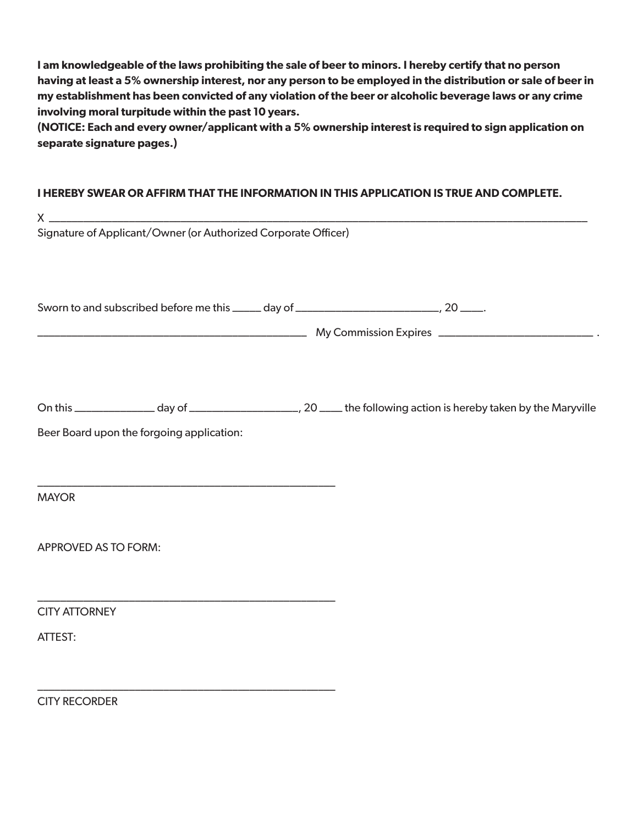**I am knowledgeable of the laws prohibiting the sale of beer to minors. I hereby certify that no person having at least a 5% ownership interest, nor any person to be employed in the distribution or sale of beer in my establishment has been convicted of any violation of the beer or alcoholic beverage laws or any crime involving moral turpitude within the past 10 years.** 

**(NOTICE: Each and every owner/applicant with a 5% ownership interest is required to sign application on separate signature pages.)**

#### **I HEREBY SWEAR OR AFFIRM THAT THE INFORMATION IN THIS APPLICATION IS TRUE AND COMPLETE.**

|                      | Signature of Applicant/Owner (or Authorized Corporate Officer) |                                                                                              |
|----------------------|----------------------------------------------------------------|----------------------------------------------------------------------------------------------|
|                      |                                                                | Sworn to and subscribed before me this _____ day of _____________________________, 20 _____. |
|                      |                                                                |                                                                                              |
|                      | Beer Board upon the forgoing application:                      |                                                                                              |
|                      |                                                                |                                                                                              |
| <b>MAYOR</b>         |                                                                |                                                                                              |
| APPROVED AS TO FORM: |                                                                |                                                                                              |
|                      |                                                                |                                                                                              |
| <b>CITY ATTORNEY</b> |                                                                |                                                                                              |
| ATTEST:              |                                                                |                                                                                              |
| <b>CITY RECORDER</b> |                                                                |                                                                                              |